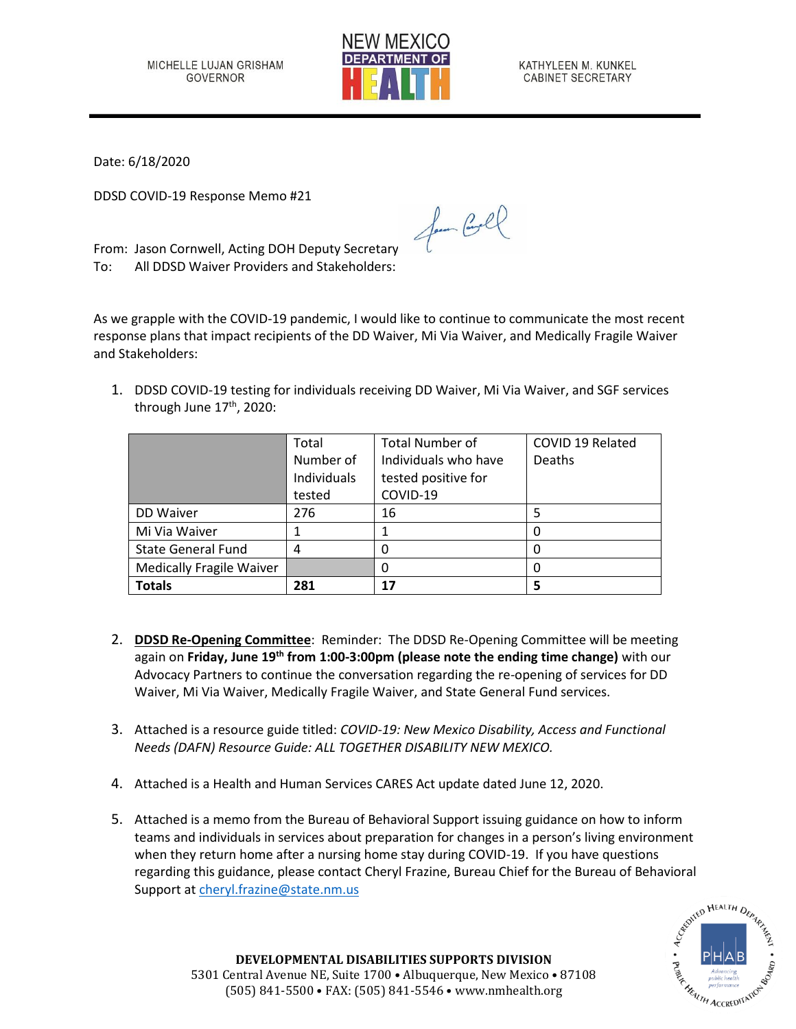

KATHYLEEN M. KUNKEL CABINET SECRETARY

Date: 6/18/2020

DDSD COVID-19 Response Memo #21

From: Jason Cornwell, Acting DOH Deputy Secretary To: All DDSD Waiver Providers and Stakeholders:

As we grapple with the COVID-19 pandemic, I would like to continue to communicate the most recent response plans that impact recipients of the DD Waiver, Mi Via Waiver, and Medically Fragile Waiver and Stakeholders:

for Cool

1. DDSD COVID-19 testing for individuals receiving DD Waiver, Mi Via Waiver, and SGF services through June 17<sup>th</sup>, 2020:

|                                 | Total       | <b>Total Number of</b> | COVID 19 Related |
|---------------------------------|-------------|------------------------|------------------|
|                                 | Number of   | Individuals who have   | <b>Deaths</b>    |
|                                 | Individuals | tested positive for    |                  |
|                                 | tested      | COVID-19               |                  |
| DD Waiver                       | 276         | 16                     |                  |
| Mi Via Waiver                   |             |                        |                  |
| <b>State General Fund</b>       | 4           |                        |                  |
| <b>Medically Fragile Waiver</b> |             |                        |                  |
| <b>Totals</b>                   | 281         | 17                     |                  |

- 2. **DDSD Re-Opening Committee**: Reminder: The DDSD Re-Opening Committee will be meeting again on **Friday, June 19th from 1:00-3:00pm (please note the ending time change)** with our Advocacy Partners to continue the conversation regarding the re-opening of services for DD Waiver, Mi Via Waiver, Medically Fragile Waiver, and State General Fund services.
- 3. Attached is a resource guide titled: *COVID-19: New Mexico Disability, Access and Functional Needs (DAFN) Resource Guide: ALL TOGETHER DISABILITY NEW MEXICO.*
- 4. Attached is a Health and Human Services CARES Act update dated June 12, 2020.
- 5. Attached is a memo from the Bureau of Behavioral Support issuing guidance on how to inform teams and individuals in services about preparation for changes in a person's living environment when they return home after a nursing home stay during COVID-19. If you have questions regarding this guidance, please contact Cheryl Frazine, Bureau Chief for the Bureau of Behavioral Support at [cheryl.frazine@state.nm.us](mailto:cheryl.frazine@state.nm.us)